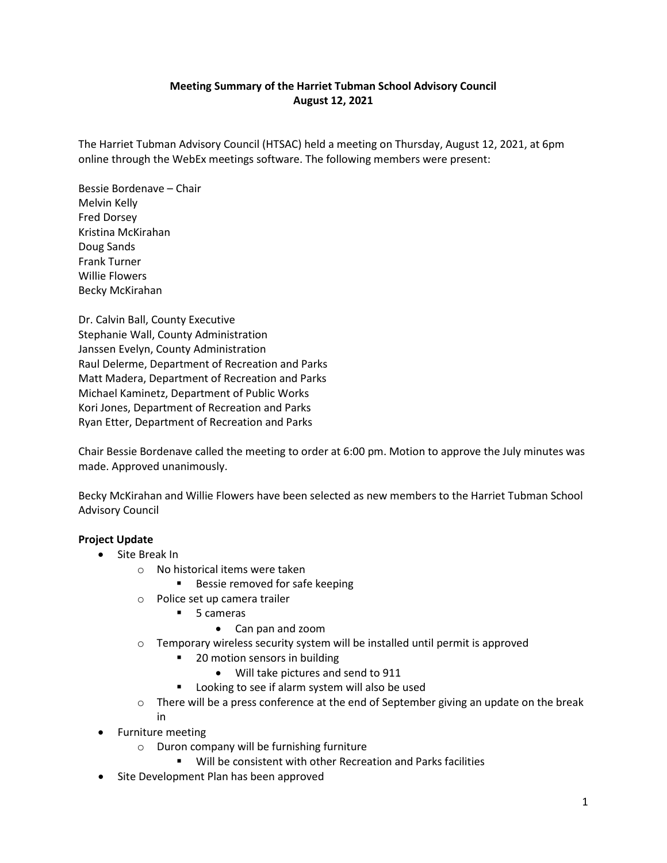# **Meeting Summary of the Harriet Tubman School Advisory Council August 12, 2021**

The Harriet Tubman Advisory Council (HTSAC) held a meeting on Thursday, August 12, 2021, at 6pm online through the WebEx meetings software. The following members were present:

Bessie Bordenave – Chair Melvin Kelly Fred Dorsey Kristina McKirahan Doug Sands Frank Turner Willie Flowers Becky McKirahan

Dr. Calvin Ball, County Executive Stephanie Wall, County Administration Janssen Evelyn, County Administration Raul Delerme, Department of Recreation and Parks Matt Madera, Department of Recreation and Parks Michael Kaminetz, Department of Public Works Kori Jones, Department of Recreation and Parks Ryan Etter, Department of Recreation and Parks

Chair Bessie Bordenave called the meeting to order at 6:00 pm. Motion to approve the July minutes was made. Approved unanimously.

Becky McKirahan and Willie Flowers have been selected as new members to the Harriet Tubman School Advisory Council

## **Project Update**

- Site Break In
	- o No historical items were taken
		- Bessie removed for safe keeping
	- o Police set up camera trailer
		- 5 cameras
			- Can pan and zoom
	- o Temporary wireless security system will be installed until permit is approved
		- 20 motion sensors in building
			- Will take pictures and send to 911
		- Looking to see if alarm system will also be used
	- $\circ$  There will be a press conference at the end of September giving an update on the break in
- Furniture meeting
	- o Duron company will be furnishing furniture
		- Will be consistent with other Recreation and Parks facilities
- Site Development Plan has been approved